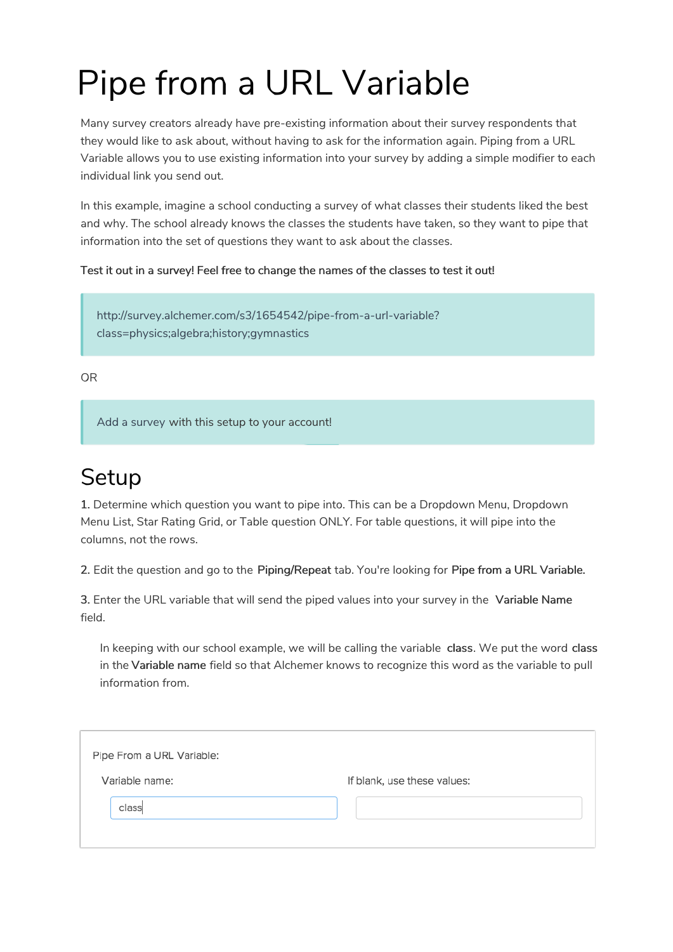## Pipe from a URL Variable

Many survey creators already have pre-existing information about their survey respondents that they would like to ask about, without having to ask for the information again. Piping from a URL Variable allows you to use existing information into your survey by adding a simple modifier to each individual link you send out.

In this example, imagine a school conducting a survey of what classes their students liked the best and why. The school already knows the classes the students have taken, so they want to pipe that information into the set of questions they want to ask about the classes.

Test it out in a survey! Feel free to change the names of the classes to test it out!

http://survey.alchemer.com/s3/1654542/pipe-from-a-url-variable? class=physics;algebra;history;gymnastics

OR

Add a survey with this setup to your account!

## **Setup**

1. Determine which question you want to pipe into. This can be a Dropdown Menu, Dropdown Menu List, Star Rating Grid, or Table question ONLY. For table questions, it will pipe into the columns, not the rows.

2. Edit the question and go to the Piping/Repeat tab. You're looking for Pipe from a URL Variable.

3. Enter the URL variable that will send the piped values into your survey in the Variable Name field.

In keeping with our school example, we will be calling the variable class. We put the word class in the Variable name field so that Alchemer knows to recognize this word as the variable to pull information from.

| Pipe From a URL Variable: |                             |
|---------------------------|-----------------------------|
| Variable name:            | If blank, use these values: |
| class                     |                             |
|                           |                             |